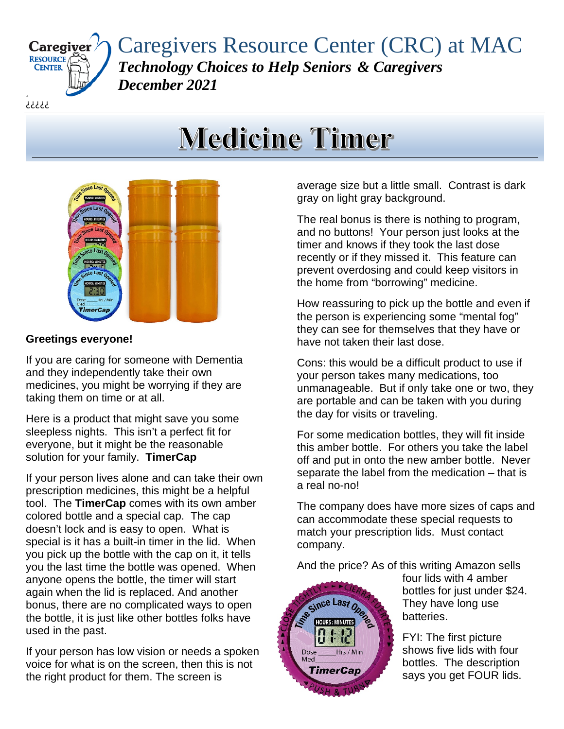

Caregivers Resource Center (CRC) at MAC *Technology Choices to Help Seniors & Caregivers December 2021*

-E ¿¿¿¿¿

## **Medicine Timer**



## **Greetings everyone!**

If you are caring for someone with Dementia and they independently take their own medicines, you might be worrying if they are taking them on time or at all.

Here is a product that might save you some sleepless nights. This isn't a perfect fit for everyone, but it might be the reasonable solution for your family. **TimerCap**

If your person lives alone and can take their own prescription medicines, this might be a helpful tool. The **TimerCap** comes with its own amber colored bottle and a special cap. The cap doesn't lock and is easy to open. What is special is it has a built-in timer in the lid. When you pick up the bottle with the cap on it, it tells you the last time the bottle was opened. When anyone opens the bottle, the timer will start again when the lid is replaced. And another bonus, there are no complicated ways to open the bottle, it is just like other bottles folks have used in the past.

If your person has low vision or needs a spoken voice for what is on the screen, then this is not the right product for them. The screen is

average size but a little small. Contrast is dark gray on light gray background.

The real bonus is there is nothing to program, and no buttons! Your person just looks at the timer and knows if they took the last dose recently or if they missed it. This feature can prevent overdosing and could keep visitors in the home from "borrowing" medicine.

How reassuring to pick up the bottle and even if the person is experiencing some "mental fog" they can see for themselves that they have or have not taken their last dose.

Cons: this would be a difficult product to use if your person takes many medications, too unmanageable. But if only take one or two, they are portable and can be taken with you during the day for visits or traveling.

For some medication bottles, they will fit inside this amber bottle. For others you take the label off and put in onto the new amber bottle. Never separate the label from the medication – that is a real no-no!

The company does have more sizes of caps and can accommodate these special requests to match your prescription lids. Must contact company.

And the price? As of this writing Amazon sells



four lids with 4 amber bottles for just under \$24. They have long use batteries.

FYI: The first picture shows five lids with four bottles. The description says you get FOUR lids.